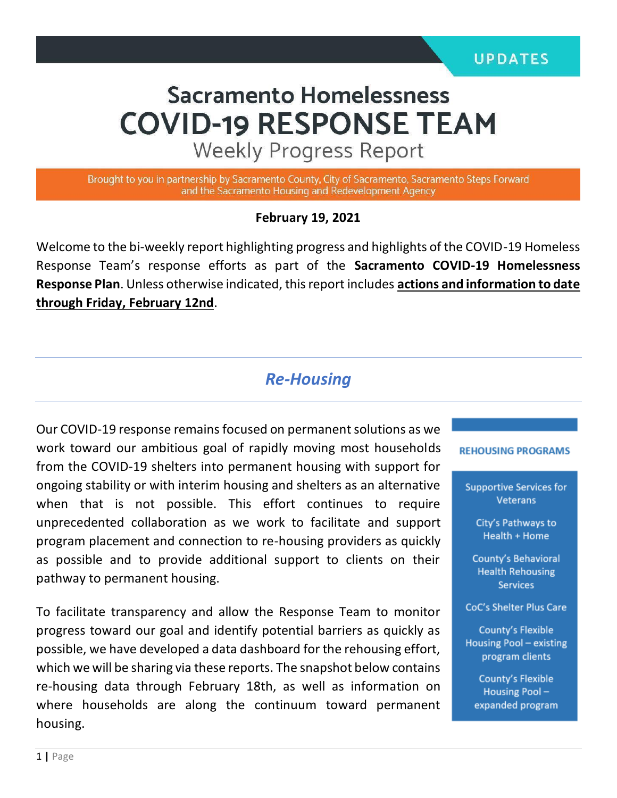# **Sacramento Homelessness COVID-19 RESPONSE TEAM**

**Weekly Progress Report** 

Brought to you in partnership by Sacramento County, City of Sacramento, Sacramento Steps Forward and the Sacramento Housing and Redevelopment Agency

#### **February 19, 2021**

Welcome to the bi-weekly report highlighting progress and highlights of the COVID-19 Homeless Response Team's response efforts as part of the **Sacramento COVID-19 Homelessness Response Plan**. Unless otherwise indicated, this report includes **actions and information to date through Friday, February 12nd**.

# *Re-Housing*

Our COVID-19 response remains focused on permanent solutions as we work toward our ambitious goal of rapidly moving most households from the COVID-19 shelters into permanent housing with support for ongoing stability or with interim housing and shelters as an alternative when that is not possible. This effort continues to require unprecedented collaboration as we work to facilitate and support program placement and connection to re-housing providers as quickly as possible and to provide additional support to clients on their pathway to permanent housing.

To facilitate transparency and allow the Response Team to monitor progress toward our goal and identify potential barriers as quickly as possible, we have developed a data dashboard for the rehousing effort, which we will be sharing via these reports. The snapshot below contains re-housing data through February 18th, as well as information on where households are along the continuum toward permanent housing.

#### **REHOUSING PROGRAMS**

**Supportive Services for** Veterans

> City's Pathways to Health + Home

**County's Behavioral Health Rehousing Services** 

CoC's Shelter Plus Care

**County's Flexible** Housing Pool - existing program clients

**County's Flexible** Housing Poolexpanded program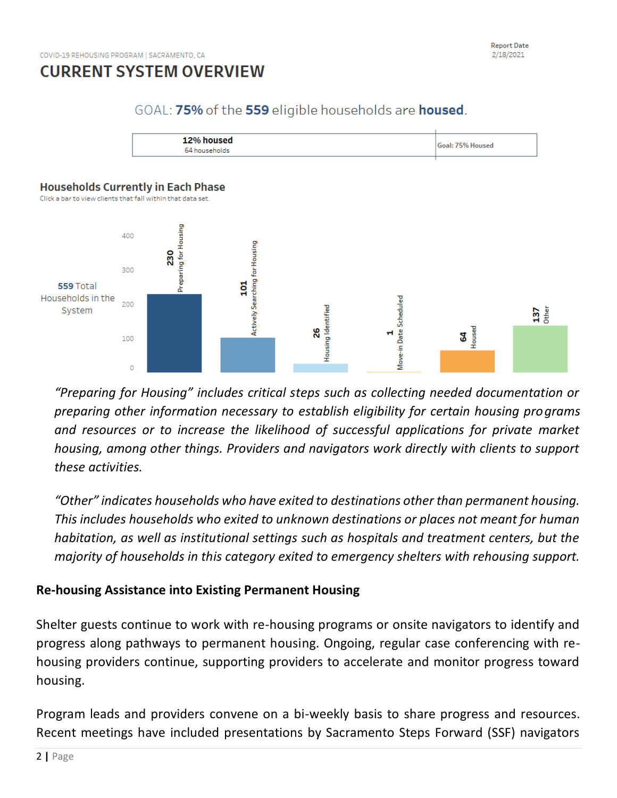# **CURRENT SYSTEM OVERVIEW**

### GOAL: 75% of the 559 eligible households are housed.

| 12% housed<br>64 households | l Goal: 75% Housed |
|-----------------------------|--------------------|
|                             |                    |

#### **Households Currently in Each Phase**

Click a bar to view clients that fall within that data set.



*"Preparing for Housing" includes critical steps such as collecting needed documentation or preparing other information necessary to establish eligibility for certain housing programs and resources or to increase the likelihood of successful applications for private market housing, among other things. Providers and navigators work directly with clients to support these activities.*

*"Other" indicates households who have exited to destinations other than permanent housing. This includes households who exited to unknown destinations or places not meant for human habitation, as well as institutional settings such as hospitals and treatment centers, but the majority of households in this category exited to emergency shelters with rehousing support.*

### **Re-housing Assistance into Existing Permanent Housing**

Shelter guests continue to work with re-housing programs or onsite navigators to identify and progress along pathways to permanent housing. Ongoing, regular case conferencing with rehousing providers continue, supporting providers to accelerate and monitor progress toward housing.

Program leads and providers convene on a bi-weekly basis to share progress and resources. Recent meetings have included presentations by Sacramento Steps Forward (SSF) navigators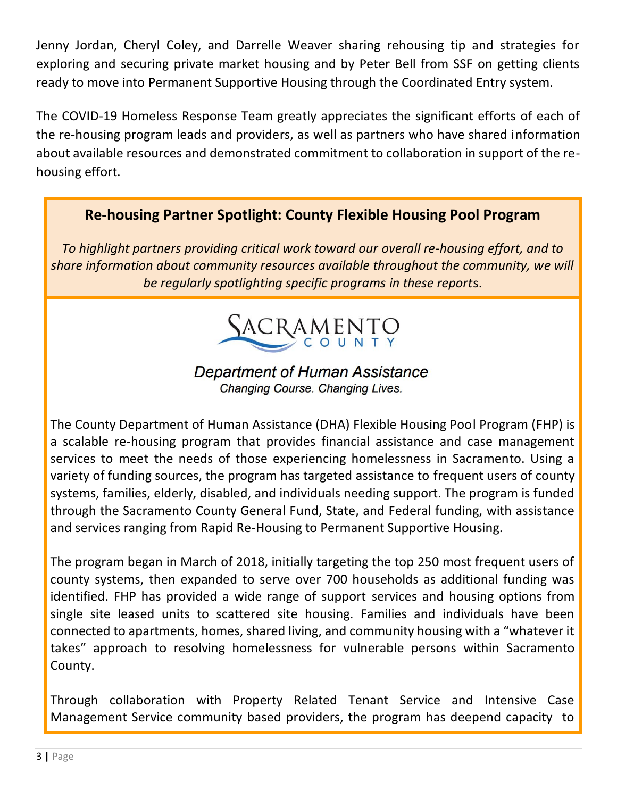Jenny Jordan, Cheryl Coley, and Darrelle Weaver sharing rehousing tip and strategies for exploring and securing private market housing and by Peter Bell from SSF on getting clients ready to move into Permanent Supportive Housing through the Coordinated Entry system.

The COVID-19 Homeless Response Team greatly appreciates the significant efforts of each of the re-housing program leads and providers, as well as partners who have shared information about available resources and demonstrated commitment to collaboration in support of the rehousing effort.

# **Re-housing Partner Spotlight: County Flexible Housing Pool Program**

*To highlight partners providing critical work toward our overall re-housing effort, and to share information about community resources available throughout the community, we will be regularly spotlighting specific programs in these report*s.



### **Department of Human Assistance** Changing Course. Changing Lives.

The County Department of Human Assistance (DHA) Flexible Housing Pool Program (FHP) is a scalable re-housing program that provides financial assistance and case management services to meet the needs of those experiencing homelessness in Sacramento. Using a variety of funding sources, the program has targeted assistance to frequent users of county systems, families, elderly, disabled, and individuals needing support. The program is funded through the Sacramento County General Fund, State, and Federal funding, with assistance and services ranging from Rapid Re-Housing to Permanent Supportive Housing.

The program began in March of 2018, initially targeting the top 250 most frequent users of county systems, then expanded to serve over 700 households as additional funding was identified. FHP has provided a wide range of support services and housing options from single site leased units to scattered site housing. Families and individuals have been connected to apartments, homes, shared living, and community housing with a "whatever it takes" approach to resolving homelessness for vulnerable persons within Sacramento County.

Through collaboration with Property Related Tenant Service and Intensive Case Management Service community based providers, the program has deepend capacity to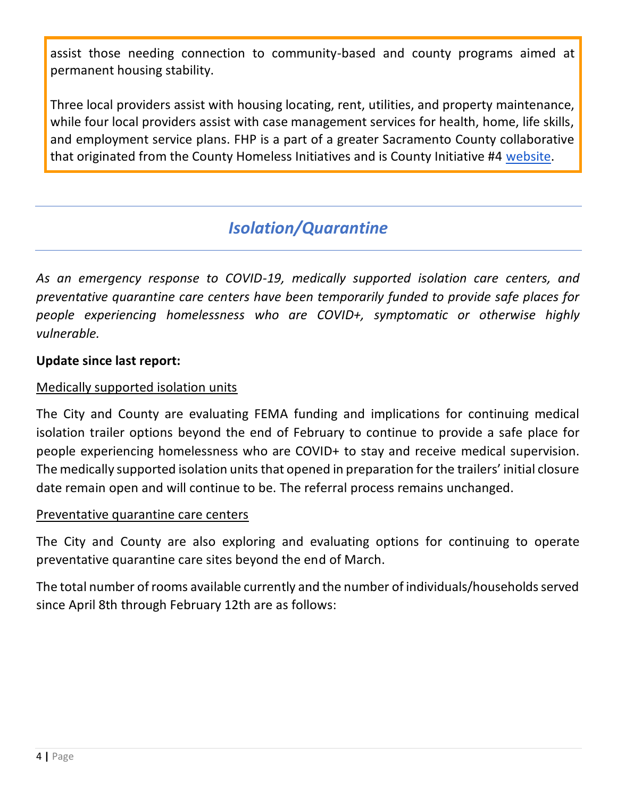assist those needing connection to community-based and county programs aimed at permanent housing stability.

Three local providers assist with housing locating, rent, utilities, and property maintenance, while four local providers assist with case management services for health, home, life skills, and employment service plans. FHP is a part of a greater Sacramento County collaborative that originated from the County Homeless Initiatives and is County Initiative #4 [website.](https://www.saccounty.net/Homelessness/Pages/HomelessnessInitiativesFactSheet.aspx)

# *Isolation/Quarantine*

*As an emergency response to COVID-19, medically supported isolation care centers, and preventative quarantine care centers have been temporarily funded to provide safe places for people experiencing homelessness who are COVID+, symptomatic or otherwise highly vulnerable.*

### **Update since last report:**

## Medically supported isolation units

The City and County are evaluating FEMA funding and implications for continuing medical isolation trailer options beyond the end of February to continue to provide a safe place for people experiencing homelessness who are COVID+ to stay and receive medical supervision. The medically supported isolation units that opened in preparation for the trailers' initial closure date remain open and will continue to be. The referral process remains unchanged.

### Preventative quarantine care centers

The City and County are also exploring and evaluating options for continuing to operate preventative quarantine care sites beyond the end of March.

The total number of rooms available currently and the number of individuals/households served since April 8th through February 12th are as follows: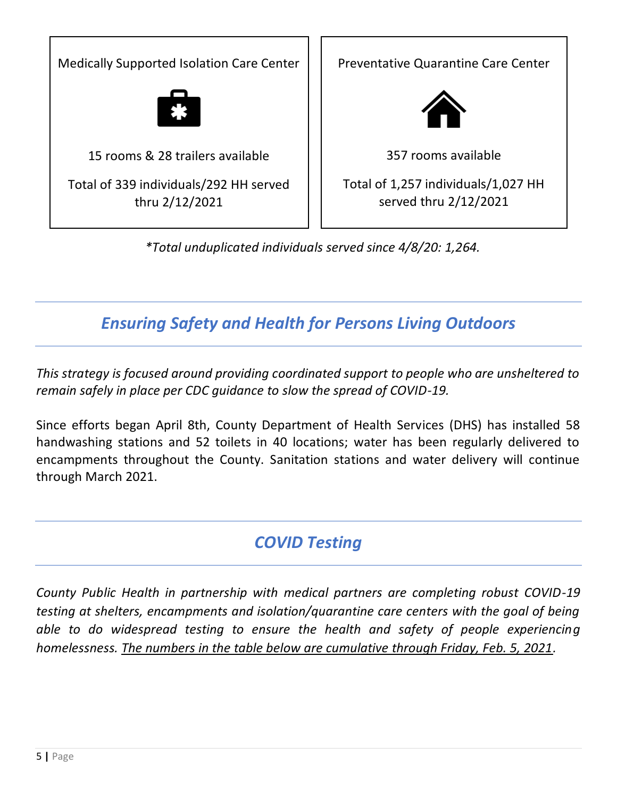Medically Supported Isolation Care Center 15 rooms & 28 trailers available Total of 339 individuals/292 HH served thru 2/12/2021 Preventative Quarantine Care Center 357 rooms available Total of 1,257 individuals/1,027 HH served thru 2/12/2021 *\*Total unduplicated individuals served since 4/8/20: 1,264.* 

*Ensuring Safety and Health for Persons Living Outdoors*

*This strategy is focused around providing coordinated support to people who are unsheltered to remain safely in place per CDC guidance to slow the spread of COVID-19.*

Since efforts began April 8th, County Department of Health Services (DHS) has installed 58 handwashing stations and 52 toilets in 40 locations; water has been regularly delivered to encampments throughout the County. Sanitation stations and water delivery will continue through March 2021.

# *COVID Testing*

*County Public Health in partnership with medical partners are completing robust COVID-19 testing at shelters, encampments and isolation/quarantine care centers with the goal of being able to do widespread testing to ensure the health and safety of people experiencing homelessness. The numbers in the table below are cumulative through Friday, Feb. 5, 2021.*